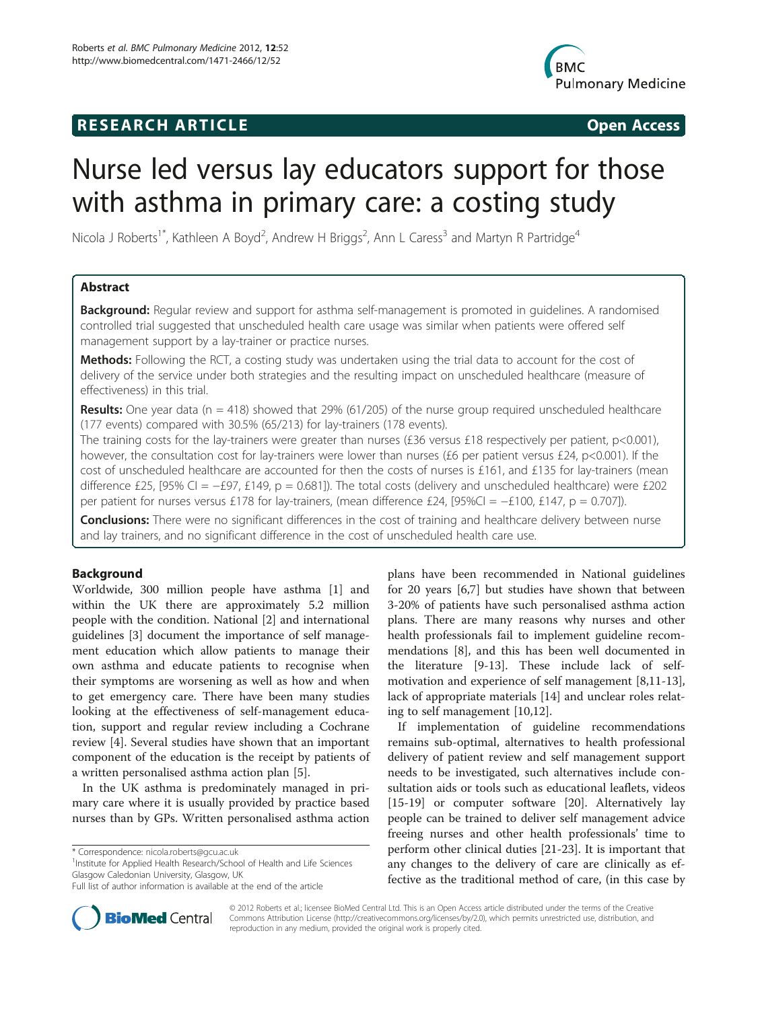## **RESEARCH ARTICLE Example 2018 CONSIDERING CONSIDERING CONSIDERING CONSIDERING CONSIDERING CONSIDERING CONSIDERING CONSIDERING CONSIDERING CONSIDERING CONSIDERING CONSIDERING CONSIDERING CONSIDERING CONSIDERING CONSIDE**



# Nurse led versus lay educators support for those with asthma in primary care: a costing study

Nicola J Roberts<sup>1\*</sup>, Kathleen A Boyd<sup>2</sup>, Andrew H Briggs<sup>2</sup>, Ann L Caress<sup>3</sup> and Martyn R Partridge<sup>4</sup>

## Abstract

Background: Regular review and support for asthma self-management is promoted in quidelines. A randomised controlled trial suggested that unscheduled health care usage was similar when patients were offered self management support by a lay-trainer or practice nurses.

Methods: Following the RCT, a costing study was undertaken using the trial data to account for the cost of delivery of the service under both strategies and the resulting impact on unscheduled healthcare (measure of effectiveness) in this trial.

**Results:** One year data ( $n = 418$ ) showed that 29% (61/205) of the nurse group required unscheduled healthcare (177 events) compared with 30.5% (65/213) for lay-trainers (178 events).

The training costs for the lay-trainers were greater than nurses (£36 versus £18 respectively per patient,  $p<0.001$ ), however, the consultation cost for lay-trainers were lower than nurses (£6 per patient versus £24, p<0.001). If the cost of unscheduled healthcare are accounted for then the costs of nurses is £161, and £135 for lay-trainers (mean difference £25, [95% CI =  $-$ £97, £149, p = 0.681]). The total costs (delivery and unscheduled healthcare) were £202 per patient for nurses versus £178 for lay-trainers, (mean difference £24, [95%CI = −£100, £147, p = 0.707]).

**Conclusions:** There were no significant differences in the cost of training and healthcare delivery between nurse and lay trainers, and no significant difference in the cost of unscheduled health care use.

## Background

Worldwide, 300 million people have asthma [[1](#page-7-0)] and within the UK there are approximately 5.2 million people with the condition. National [\[2\]](#page-7-0) and international guidelines [\[3](#page-7-0)] document the importance of self management education which allow patients to manage their own asthma and educate patients to recognise when their symptoms are worsening as well as how and when to get emergency care. There have been many studies looking at the effectiveness of self-management education, support and regular review including a Cochrane review [\[4](#page-7-0)]. Several studies have shown that an important component of the education is the receipt by patients of a written personalised asthma action plan [[5\]](#page-7-0).

In the UK asthma is predominately managed in primary care where it is usually provided by practice based nurses than by GPs. Written personalised asthma action

<sup>1</sup>Institute for Applied Health Research/School of Health and Life Sciences Glasgow Caledonian University, Glasgow, UK



If implementation of guideline recommendations remains sub-optimal, alternatives to health professional delivery of patient review and self management support needs to be investigated, such alternatives include consultation aids or tools such as educational leaflets, videos [[15-19](#page-7-0)] or computer software [[20](#page-7-0)]. Alternatively lay people can be trained to deliver self management advice freeing nurses and other health professionals' time to perform other clinical duties [\[21-23](#page-8-0)]. It is important that any changes to the delivery of care are clinically as effective as the traditional method of care, (in this case by



© 2012 Roberts et al.; licensee BioMed Central Ltd. This is an Open Access article distributed under the terms of the Creative Commons Attribution License [\(http://creativecommons.org/licenses/by/2.0\)](http://creativecommons.org/licenses/by/2.0), which permits unrestricted use, distribution, and reproduction in any medium, provided the original work is properly cited.

<sup>\*</sup> Correspondence: [nicola.roberts@gcu.ac.uk](mailto:nicola.roberts@gcu.ac.uk) <sup>1</sup>

Full list of author information is available at the end of the article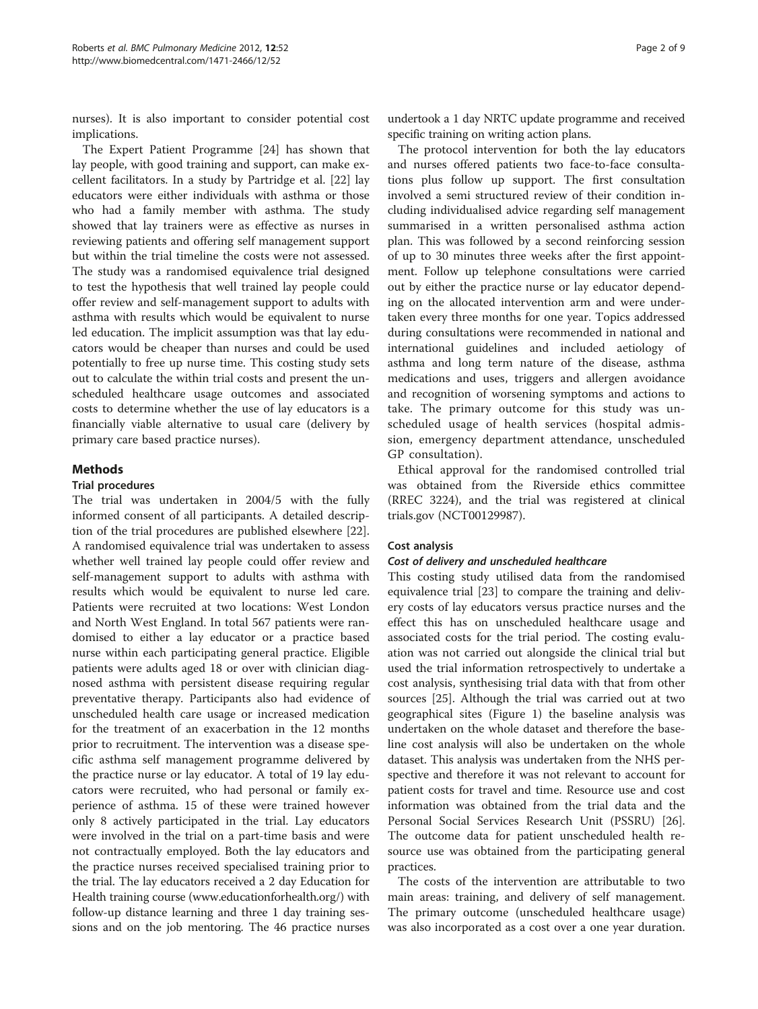nurses). It is also important to consider potential cost implications.

The Expert Patient Programme [[24\]](#page-8-0) has shown that lay people, with good training and support, can make excellent facilitators. In a study by Partridge et al. [[22](#page-8-0)] lay educators were either individuals with asthma or those who had a family member with asthma. The study showed that lay trainers were as effective as nurses in reviewing patients and offering self management support but within the trial timeline the costs were not assessed. The study was a randomised equivalence trial designed to test the hypothesis that well trained lay people could offer review and self-management support to adults with asthma with results which would be equivalent to nurse led education. The implicit assumption was that lay educators would be cheaper than nurses and could be used potentially to free up nurse time. This costing study sets out to calculate the within trial costs and present the unscheduled healthcare usage outcomes and associated costs to determine whether the use of lay educators is a financially viable alternative to usual care (delivery by primary care based practice nurses).

## Methods

## Trial procedures

The trial was undertaken in 2004/5 with the fully informed consent of all participants. A detailed description of the trial procedures are published elsewhere [\[22](#page-8-0)]. A randomised equivalence trial was undertaken to assess whether well trained lay people could offer review and self-management support to adults with asthma with results which would be equivalent to nurse led care. Patients were recruited at two locations: West London and North West England. In total 567 patients were randomised to either a lay educator or a practice based nurse within each participating general practice. Eligible patients were adults aged 18 or over with clinician diagnosed asthma with persistent disease requiring regular preventative therapy. Participants also had evidence of unscheduled health care usage or increased medication for the treatment of an exacerbation in the 12 months prior to recruitment. The intervention was a disease specific asthma self management programme delivered by the practice nurse or lay educator. A total of 19 lay educators were recruited, who had personal or family experience of asthma. 15 of these were trained however only 8 actively participated in the trial. Lay educators were involved in the trial on a part-time basis and were not contractually employed. Both the lay educators and the practice nurses received specialised training prior to the trial. The lay educators received a 2 day Education for Health training course [\(www.educationforhealth.org/](http://www.educationforhealth.org/)) with follow-up distance learning and three 1 day training sessions and on the job mentoring. The 46 practice nurses

undertook a 1 day NRTC update programme and received specific training on writing action plans.

The protocol intervention for both the lay educators and nurses offered patients two face-to-face consultations plus follow up support. The first consultation involved a semi structured review of their condition including individualised advice regarding self management summarised in a written personalised asthma action plan. This was followed by a second reinforcing session of up to 30 minutes three weeks after the first appointment. Follow up telephone consultations were carried out by either the practice nurse or lay educator depending on the allocated intervention arm and were undertaken every three months for one year. Topics addressed during consultations were recommended in national and international guidelines and included aetiology of asthma and long term nature of the disease, asthma medications and uses, triggers and allergen avoidance and recognition of worsening symptoms and actions to take. The primary outcome for this study was unscheduled usage of health services (hospital admission, emergency department attendance, unscheduled GP consultation).

Ethical approval for the randomised controlled trial was obtained from the Riverside ethics committee (RREC 3224), and the trial was registered at clinical trials.gov (NCT00129987).

## Cost analysis

## Cost of delivery and unscheduled healthcare

This costing study utilised data from the randomised equivalence trial [[23\]](#page-8-0) to compare the training and delivery costs of lay educators versus practice nurses and the effect this has on unscheduled healthcare usage and associated costs for the trial period. The costing evaluation was not carried out alongside the clinical trial but used the trial information retrospectively to undertake a cost analysis, synthesising trial data with that from other sources [[25](#page-8-0)]. Although the trial was carried out at two geographical sites (Figure [1\)](#page-2-0) the baseline analysis was undertaken on the whole dataset and therefore the baseline cost analysis will also be undertaken on the whole dataset. This analysis was undertaken from the NHS perspective and therefore it was not relevant to account for patient costs for travel and time. Resource use and cost information was obtained from the trial data and the Personal Social Services Research Unit (PSSRU) [\[26](#page-8-0)]. The outcome data for patient unscheduled health resource use was obtained from the participating general practices.

The costs of the intervention are attributable to two main areas: training, and delivery of self management. The primary outcome (unscheduled healthcare usage) was also incorporated as a cost over a one year duration.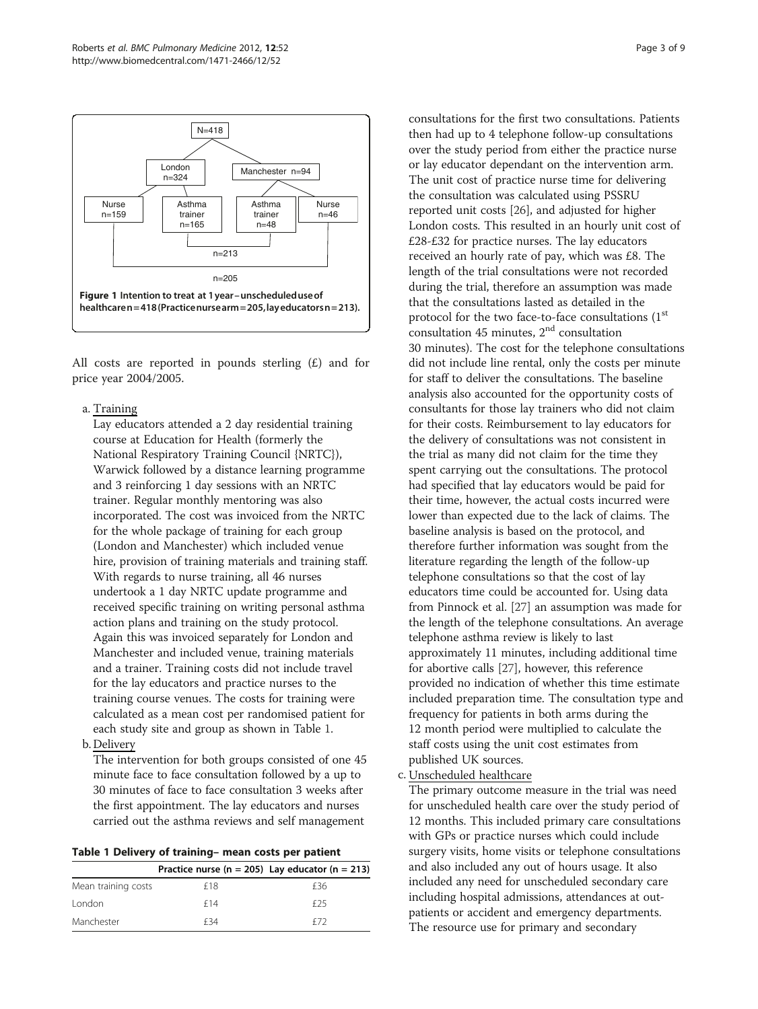

<span id="page-2-0"></span>

All costs are reported in pounds sterling  $(E)$  and for price year 2004/2005.

## a. Training

Lay educators attended a 2 day residential training course at Education for Health (formerly the National Respiratory Training Council {NRTC}), Warwick followed by a distance learning programme and 3 reinforcing 1 day sessions with an NRTC trainer. Regular monthly mentoring was also incorporated. The cost was invoiced from the NRTC for the whole package of training for each group (London and Manchester) which included venue hire, provision of training materials and training staff. With regards to nurse training, all 46 nurses undertook a 1 day NRTC update programme and received specific training on writing personal asthma action plans and training on the study protocol. Again this was invoiced separately for London and Manchester and included venue, training materials and a trainer. Training costs did not include travel for the lay educators and practice nurses to the training course venues. The costs for training were calculated as a mean cost per randomised patient for each study site and group as shown in Table 1.

## b. Delivery

The intervention for both groups consisted of one 45 minute face to face consultation followed by a up to 30 minutes of face to face consultation 3 weeks after the first appointment. The lay educators and nurses carried out the asthma reviews and self management

| Table 1 Delivery of training- mean costs per patient |  |  |  |
|------------------------------------------------------|--|--|--|
|------------------------------------------------------|--|--|--|

|                     | Practice nurse ( $n = 205$ ) Lay educator ( $n = 213$ ) |     |
|---------------------|---------------------------------------------------------|-----|
| Mean training costs | £18                                                     | f36 |
| I ondon             | f 14                                                    | f25 |
| Manchester          | f 34                                                    | f72 |

consultations for the first two consultations. Patients then had up to 4 telephone follow-up consultations over the study period from either the practice nurse or lay educator dependant on the intervention arm. The unit cost of practice nurse time for delivering the consultation was calculated using PSSRU reported unit costs [[26](#page-8-0)], and adjusted for higher London costs. This resulted in an hourly unit cost of £28-£32 for practice nurses. The lay educators received an hourly rate of pay, which was £8. The length of the trial consultations were not recorded during the trial, therefore an assumption was made that the consultations lasted as detailed in the protocol for the two face-to-face consultations  $(1<sup>st</sup>$ consultation  $45$  minutes,  $2<sup>nd</sup>$  consultation 30 minutes). The cost for the telephone consultations did not include line rental, only the costs per minute for staff to deliver the consultations. The baseline analysis also accounted for the opportunity costs of consultants for those lay trainers who did not claim for their costs. Reimbursement to lay educators for the delivery of consultations was not consistent in the trial as many did not claim for the time they spent carrying out the consultations. The protocol had specified that lay educators would be paid for their time, however, the actual costs incurred were lower than expected due to the lack of claims. The baseline analysis is based on the protocol, and therefore further information was sought from the literature regarding the length of the follow-up telephone consultations so that the cost of lay educators time could be accounted for. Using data from Pinnock et al. [[27](#page-8-0)] an assumption was made for the length of the telephone consultations. An average telephone asthma review is likely to last approximately 11 minutes, including additional time for abortive calls [[27](#page-8-0)], however, this reference provided no indication of whether this time estimate included preparation time. The consultation type and frequency for patients in both arms during the 12 month period were multiplied to calculate the staff costs using the unit cost estimates from published UK sources.

c. Unscheduled healthcare

The primary outcome measure in the trial was need for unscheduled health care over the study period of 12 months. This included primary care consultations with GPs or practice nurses which could include surgery visits, home visits or telephone consultations and also included any out of hours usage. It also included any need for unscheduled secondary care including hospital admissions, attendances at outpatients or accident and emergency departments. The resource use for primary and secondary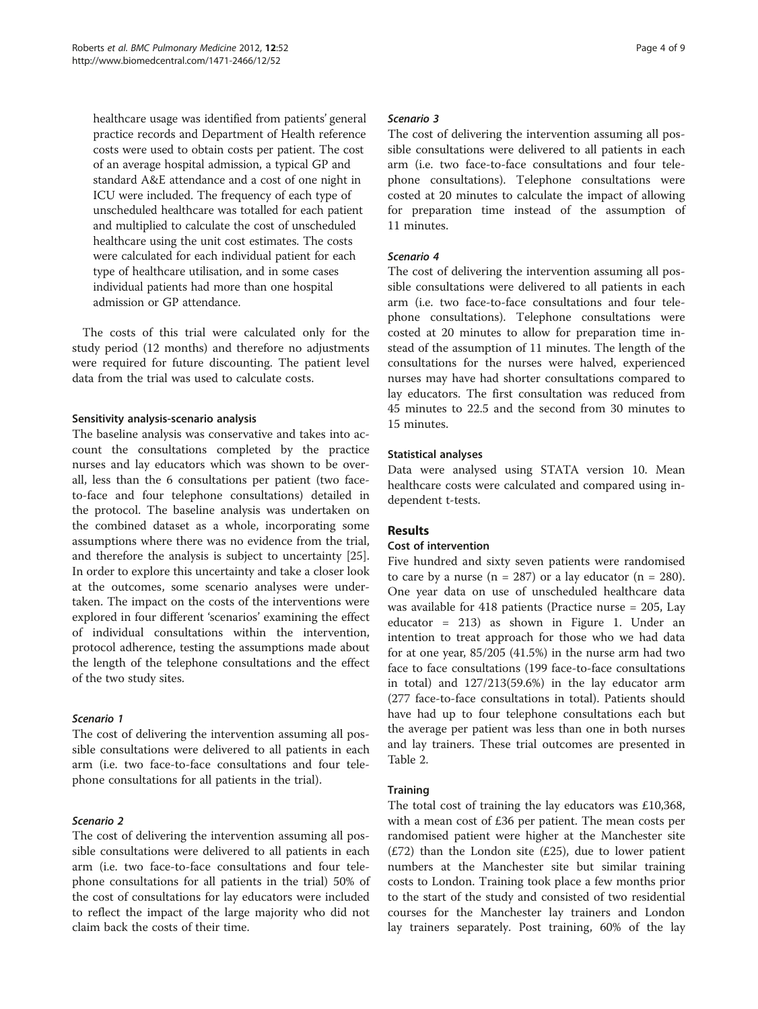healthcare usage was identified from patients' general practice records and Department of Health reference costs were used to obtain costs per patient. The cost of an average hospital admission, a typical GP and standard A&E attendance and a cost of one night in ICU were included. The frequency of each type of unscheduled healthcare was totalled for each patient and multiplied to calculate the cost of unscheduled healthcare using the unit cost estimates. The costs were calculated for each individual patient for each type of healthcare utilisation, and in some cases individual patients had more than one hospital admission or GP attendance.

The costs of this trial were calculated only for the study period (12 months) and therefore no adjustments were required for future discounting. The patient level data from the trial was used to calculate costs.

## Sensitivity analysis-scenario analysis

The baseline analysis was conservative and takes into account the consultations completed by the practice nurses and lay educators which was shown to be overall, less than the 6 consultations per patient (two faceto-face and four telephone consultations) detailed in the protocol. The baseline analysis was undertaken on the combined dataset as a whole, incorporating some assumptions where there was no evidence from the trial, and therefore the analysis is subject to uncertainty [\[25](#page-8-0)]. In order to explore this uncertainty and take a closer look at the outcomes, some scenario analyses were undertaken. The impact on the costs of the interventions were explored in four different 'scenarios' examining the effect of individual consultations within the intervention, protocol adherence, testing the assumptions made about the length of the telephone consultations and the effect of the two study sites.

## Scenario 1

The cost of delivering the intervention assuming all possible consultations were delivered to all patients in each arm (i.e. two face-to-face consultations and four telephone consultations for all patients in the trial).

## Scenario 2

The cost of delivering the intervention assuming all possible consultations were delivered to all patients in each arm (i.e. two face-to-face consultations and four telephone consultations for all patients in the trial) 50% of the cost of consultations for lay educators were included to reflect the impact of the large majority who did not claim back the costs of their time.

## Scenario 3

The cost of delivering the intervention assuming all possible consultations were delivered to all patients in each arm (i.e. two face-to-face consultations and four telephone consultations). Telephone consultations were costed at 20 minutes to calculate the impact of allowing for preparation time instead of the assumption of 11 minutes.

## Scenario 4

The cost of delivering the intervention assuming all possible consultations were delivered to all patients in each arm (i.e. two face-to-face consultations and four telephone consultations). Telephone consultations were costed at 20 minutes to allow for preparation time instead of the assumption of 11 minutes. The length of the consultations for the nurses were halved, experienced nurses may have had shorter consultations compared to lay educators. The first consultation was reduced from 45 minutes to 22.5 and the second from 30 minutes to 15 minutes.

## Statistical analyses

Data were analysed using STATA version 10. Mean healthcare costs were calculated and compared using independent t-tests.

## Results

## Cost of intervention

Five hundred and sixty seven patients were randomised to care by a nurse  $(n = 287)$  or a lay educator  $(n = 280)$ . One year data on use of unscheduled healthcare data was available for 418 patients (Practice nurse = 205, Lay educator = 213) as shown in Figure [1.](#page-2-0) Under an intention to treat approach for those who we had data for at one year, 85/205 (41.5%) in the nurse arm had two face to face consultations (199 face-to-face consultations in total) and 127/213(59.6%) in the lay educator arm (277 face-to-face consultations in total). Patients should have had up to four telephone consultations each but the average per patient was less than one in both nurses and lay trainers. These trial outcomes are presented in Table [2.](#page-4-0)

## **Training**

The total cost of training the lay educators was £10,368, with a mean cost of £36 per patient. The mean costs per randomised patient were higher at the Manchester site ( $E72$ ) than the London site ( $E25$ ), due to lower patient numbers at the Manchester site but similar training costs to London. Training took place a few months prior to the start of the study and consisted of two residential courses for the Manchester lay trainers and London lay trainers separately. Post training, 60% of the lay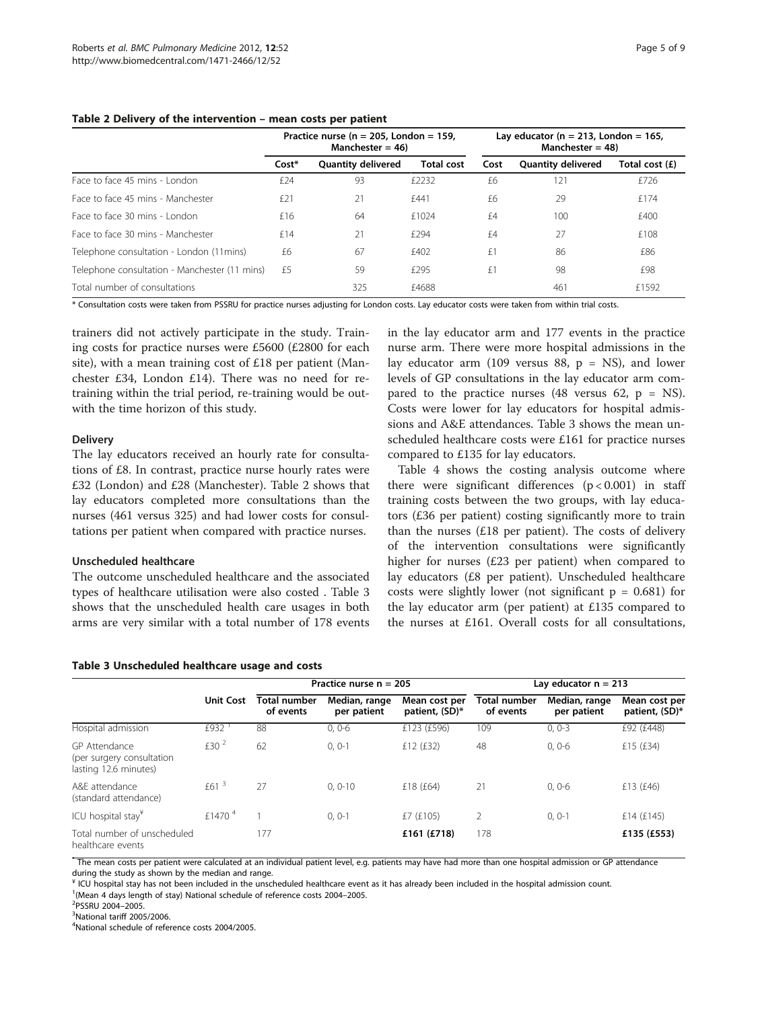|                                               | Practice nurse ( $n = 205$ , London = 159,<br>Manchester = $46$ ) |                           | Lay educator (n = 213, London = 165,<br>Manchester = $48$ ) |      |                           |                |
|-----------------------------------------------|-------------------------------------------------------------------|---------------------------|-------------------------------------------------------------|------|---------------------------|----------------|
|                                               | Cost*                                                             | <b>Quantity delivered</b> | <b>Total cost</b>                                           | Cost | <b>Quantity delivered</b> | Total cost (£) |
| Face to face 45 mins - London                 | f 24                                                              | 93                        | f2232                                                       | £б   | 121                       | f726           |
| Face to face 45 mins - Manchester             | £21                                                               | 21                        | f441                                                        | f6   | 29                        | f174           |
| Face to face 30 mins - London                 | f16                                                               | 64                        | f1024                                                       | f4   | 100                       | £400           |
| Face to face 30 mins - Manchester             | f 14                                                              | 21                        | f294                                                        | f4   | 27                        | £108           |
| Telephone consultation - London (11mins)      | fб                                                                | 67                        | f402                                                        | f1   | 86                        | f86            |
| Telephone consultation - Manchester (11 mins) | £5                                                                | 59                        | £295                                                        | f1   | 98                        | £98            |
| Total number of consultations                 |                                                                   | 325                       | £4688                                                       |      | 461                       | £1592          |

#### <span id="page-4-0"></span>Table 2 Delivery of the intervention – mean costs per patient

\* Consultation costs were taken from PSSRU for practice nurses adjusting for London costs. Lay educator costs were taken from within trial costs.

trainers did not actively participate in the study. Training costs for practice nurses were £5600 (£2800 for each site), with a mean training cost of £18 per patient (Manchester £34, London £14). There was no need for retraining within the trial period, re-training would be outwith the time horizon of this study.

#### **Delivery**

The lay educators received an hourly rate for consultations of £8. In contrast, practice nurse hourly rates were £32 (London) and £28 (Manchester). Table 2 shows that lay educators completed more consultations than the nurses (461 versus 325) and had lower costs for consultations per patient when compared with practice nurses.

#### Unscheduled healthcare

The outcome unscheduled healthcare and the associated types of healthcare utilisation were also costed . Table 3 shows that the unscheduled health care usages in both arms are very similar with a total number of 178 events

## Table 3 Unscheduled healthcare usage and costs

in the lay educator arm and 177 events in the practice nurse arm. There were more hospital admissions in the lay educator arm (109 versus 88,  $p = NS$ ), and lower levels of GP consultations in the lay educator arm compared to the practice nurses (48 versus 62,  $p = NS$ ). Costs were lower for lay educators for hospital admissions and A&E attendances. Table 3 shows the mean unscheduled healthcare costs were £161 for practice nurses compared to £135 for lay educators.

Table [4](#page-5-0) shows the costing analysis outcome where there were significant differences  $(p < 0.001)$  in staff training costs between the two groups, with lay educators (£36 per patient) costing significantly more to train than the nurses  $(E18$  per patient). The costs of delivery of the intervention consultations were significantly higher for nurses (£23 per patient) when compared to lay educators (£8 per patient). Unscheduled healthcare costs were slightly lower (not significant  $p = 0.681$ ) for the lay educator arm (per patient) at £135 compared to the nurses at £161. Overall costs for all consultations,

|                                                                     |                  | Practice nurse $n = 205$         |                              |                                 | Lay educator $n = 213$           |                              |                                 |
|---------------------------------------------------------------------|------------------|----------------------------------|------------------------------|---------------------------------|----------------------------------|------------------------------|---------------------------------|
|                                                                     | <b>Unit Cost</b> | <b>Total number</b><br>of events | Median, range<br>per patient | Mean cost per<br>patient, (SD)* | <b>Total number</b><br>of events | Median, range<br>per patient | Mean cost per<br>patient, (SD)* |
| Hospital admission                                                  | £932             | 88                               | $0, 0-6$                     | £123 (£596)                     | 109                              | $0, 0-3$                     | £92 (£448)                      |
| GP Attendance<br>(per surgery consultation<br>lasting 12.6 minutes) | £30 $2$          | 62                               | $0.0-1$                      | £12 (£32)                       | 48                               | $0, 0-6$                     | £15 (£34)                       |
| A&F attendance<br>(standard attendance)                             | f61 <sup>3</sup> | 27                               | $0.0 - 10$                   | £18 (£64)                       | 21                               | $0, 0-6$                     | £13 (£46)                       |
| ICU hospital stay*                                                  | $f1470^{4}$      |                                  | $0.0-1$                      | £7 (£105)                       |                                  | $0, 0-1$                     | £14 (£145)                      |
| Total number of unscheduled<br>healthcare events                    |                  | 177                              |                              | £161 (£718)                     | 178                              |                              | £135 (£553)                     |

The mean costs per patient were calculated at an individual patient level, e.g. patients may have had more than one hospital admission or GP attendance during the study as shown by the median and range.

¥ ICU hospital stay has not been included in the unscheduled healthcare event as it has already been included in the hospital admission count.

<sup>1</sup>(Mean 4 days length of stay) National schedule of reference costs 2004–2005.<br><sup>2</sup>PSSRLL 2004, 2005

<sup>2</sup>PSSRU 2004-2005.

 $3$ National tariff 2005/2006.

4 National schedule of reference costs 2004/2005.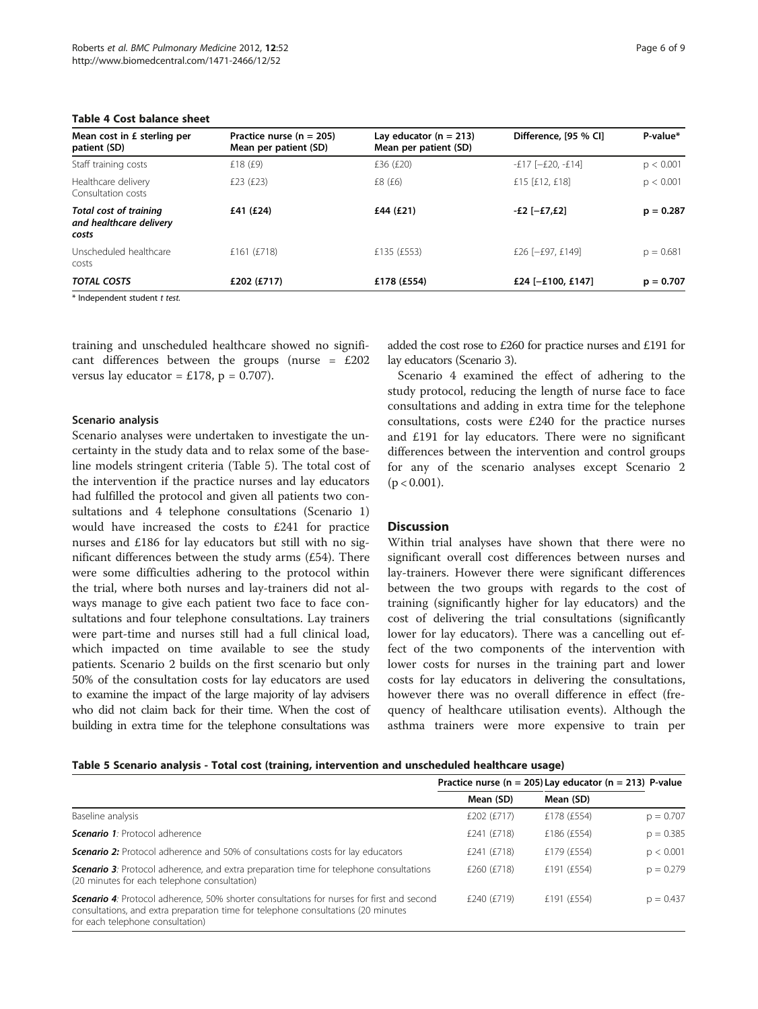| Mean cost in £ sterling per<br>patient (SD)                | Practice nurse ( $n = 205$ )<br>Mean per patient (SD) | Lay educator $(n = 213)$<br>Mean per patient (SD) | Difference, [95 % CI] | P-value*    |
|------------------------------------------------------------|-------------------------------------------------------|---------------------------------------------------|-----------------------|-------------|
| Staff training costs                                       | £18(E9)                                               | £36 (£20)                                         | $-E17$ [-£20, -£14]   | p < 0.001   |
| Healthcare delivery<br>Consultation costs                  | £23 (£23)                                             | £8(f6)                                            | £15 [£12, £18]        | p < 0.001   |
| Total cost of training<br>and healthcare delivery<br>costs | £41 (£24)                                             | £44 (£21)                                         | $-E2$ [ $-E7.E2$ ]    | $p = 0.287$ |
| Unscheduled healthcare<br>costs                            | £161 (£718)                                           | £135 (£553)                                       | £26 [-£97, £149]      | $p = 0.681$ |
| <b>TOTAL COSTS</b>                                         | £202 (£717)                                           | £178 (£554)                                       | £24 [-£100, £147]     | $p = 0.707$ |

## <span id="page-5-0"></span>Table 4 Cost balance sheet

\* Independent student t test.

training and unscheduled healthcare showed no significant differences between the groups (nurse =  $£202$ versus lay educator = £178,  $p = 0.707$ ).

## Scenario analysis

Scenario analyses were undertaken to investigate the uncertainty in the study data and to relax some of the baseline models stringent criteria (Table 5). The total cost of the intervention if the practice nurses and lay educators had fulfilled the protocol and given all patients two consultations and 4 telephone consultations (Scenario 1) would have increased the costs to £241 for practice nurses and £186 for lay educators but still with no significant differences between the study arms (£54). There were some difficulties adhering to the protocol within the trial, where both nurses and lay-trainers did not always manage to give each patient two face to face consultations and four telephone consultations. Lay trainers were part-time and nurses still had a full clinical load, which impacted on time available to see the study patients. Scenario 2 builds on the first scenario but only 50% of the consultation costs for lay educators are used to examine the impact of the large majority of lay advisers who did not claim back for their time. When the cost of building in extra time for the telephone consultations was

added the cost rose to £260 for practice nurses and £191 for lay educators (Scenario 3).

Scenario 4 examined the effect of adhering to the study protocol, reducing the length of nurse face to face consultations and adding in extra time for the telephone consultations, costs were £240 for the practice nurses and £191 for lay educators. There were no significant differences between the intervention and control groups for any of the scenario analyses except Scenario 2  $(p < 0.001)$ .

## **Discussion**

Within trial analyses have shown that there were no significant overall cost differences between nurses and lay-trainers. However there were significant differences between the two groups with regards to the cost of training (significantly higher for lay educators) and the cost of delivering the trial consultations (significantly lower for lay educators). There was a cancelling out effect of the two components of the intervention with lower costs for nurses in the training part and lower costs for lay educators in delivering the consultations, however there was no overall difference in effect (frequency of healthcare utilisation events). Although the asthma trainers were more expensive to train per

|                                                                                                                                                                                                                           | Practice nurse ( $n = 205$ ) Lay educator ( $n = 213$ ) P-value |             |             |
|---------------------------------------------------------------------------------------------------------------------------------------------------------------------------------------------------------------------------|-----------------------------------------------------------------|-------------|-------------|
|                                                                                                                                                                                                                           | Mean (SD)                                                       | Mean (SD)   |             |
| Baseline analysis                                                                                                                                                                                                         | £202 (£717)                                                     | £178 (£554) | $p = 0.707$ |
| <b>Scenario 1:</b> Protocol adherence                                                                                                                                                                                     | £241 (£718)                                                     | £186 (£554) | $p = 0.385$ |
| <b>Scenario 2:</b> Protocol adherence and 50% of consultations costs for lay educators                                                                                                                                    | £241 (£718)                                                     | £179 (£554) | p < 0.001   |
| <b>Scenario 3:</b> Protocol adherence, and extra preparation time for telephone consultations<br>(20 minutes for each telephone consultation)                                                                             | £260 (£718)                                                     | £191 (£554) | $p = 0.279$ |
| <b>Scenario 4:</b> Protocol adherence, 50% shorter consultations for nurses for first and second<br>consultations, and extra preparation time for telephone consultations (20 minutes<br>for each telephone consultation) | £240 (£719)                                                     | £191 (£554) | $p = 0.437$ |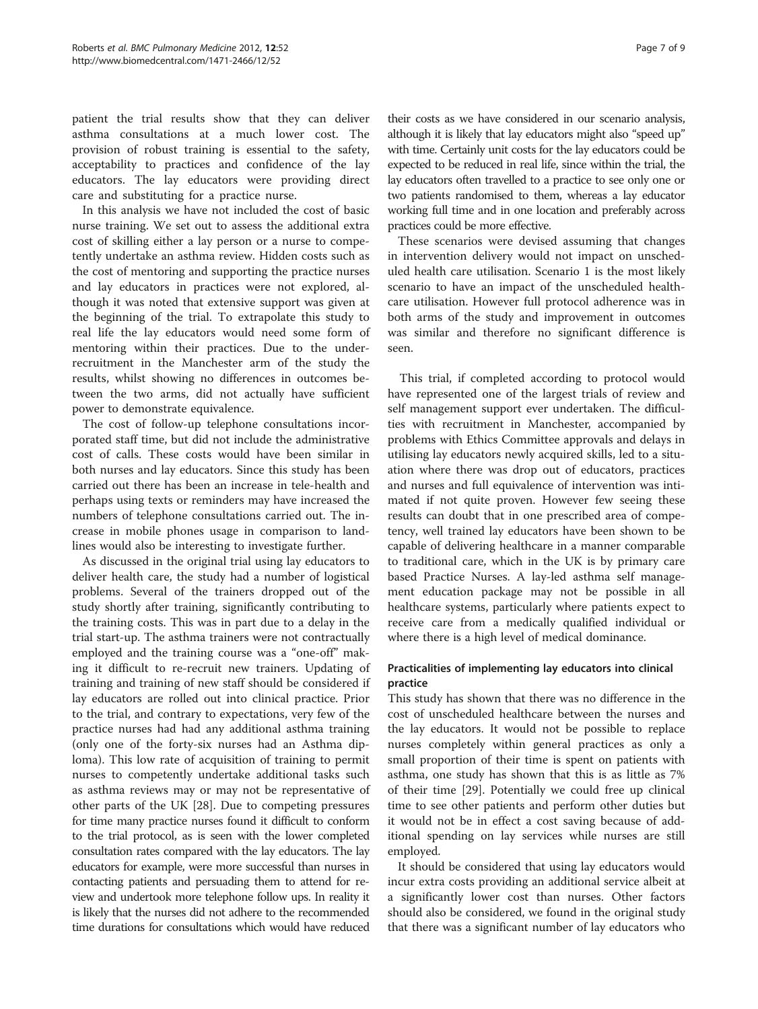patient the trial results show that they can deliver asthma consultations at a much lower cost. The provision of robust training is essential to the safety, acceptability to practices and confidence of the lay educators. The lay educators were providing direct care and substituting for a practice nurse.

In this analysis we have not included the cost of basic nurse training. We set out to assess the additional extra cost of skilling either a lay person or a nurse to competently undertake an asthma review. Hidden costs such as the cost of mentoring and supporting the practice nurses and lay educators in practices were not explored, although it was noted that extensive support was given at the beginning of the trial. To extrapolate this study to real life the lay educators would need some form of mentoring within their practices. Due to the underrecruitment in the Manchester arm of the study the results, whilst showing no differences in outcomes between the two arms, did not actually have sufficient power to demonstrate equivalence.

The cost of follow-up telephone consultations incorporated staff time, but did not include the administrative cost of calls. These costs would have been similar in both nurses and lay educators. Since this study has been carried out there has been an increase in tele-health and perhaps using texts or reminders may have increased the numbers of telephone consultations carried out. The increase in mobile phones usage in comparison to landlines would also be interesting to investigate further.

As discussed in the original trial using lay educators to deliver health care, the study had a number of logistical problems. Several of the trainers dropped out of the study shortly after training, significantly contributing to the training costs. This was in part due to a delay in the trial start-up. The asthma trainers were not contractually employed and the training course was a "one-off" making it difficult to re-recruit new trainers. Updating of training and training of new staff should be considered if lay educators are rolled out into clinical practice. Prior to the trial, and contrary to expectations, very few of the practice nurses had had any additional asthma training (only one of the forty-six nurses had an Asthma diploma). This low rate of acquisition of training to permit nurses to competently undertake additional tasks such as asthma reviews may or may not be representative of other parts of the UK [[28](#page-8-0)]. Due to competing pressures for time many practice nurses found it difficult to conform to the trial protocol, as is seen with the lower completed consultation rates compared with the lay educators. The lay educators for example, were more successful than nurses in contacting patients and persuading them to attend for review and undertook more telephone follow ups. In reality it is likely that the nurses did not adhere to the recommended time durations for consultations which would have reduced

their costs as we have considered in our scenario analysis, although it is likely that lay educators might also "speed up" with time. Certainly unit costs for the lay educators could be expected to be reduced in real life, since within the trial, the lay educators often travelled to a practice to see only one or two patients randomised to them, whereas a lay educator working full time and in one location and preferably across practices could be more effective.

These scenarios were devised assuming that changes in intervention delivery would not impact on unscheduled health care utilisation. Scenario 1 is the most likely scenario to have an impact of the unscheduled healthcare utilisation. However full protocol adherence was in both arms of the study and improvement in outcomes was similar and therefore no significant difference is seen.

This trial, if completed according to protocol would have represented one of the largest trials of review and self management support ever undertaken. The difficulties with recruitment in Manchester, accompanied by problems with Ethics Committee approvals and delays in utilising lay educators newly acquired skills, led to a situation where there was drop out of educators, practices and nurses and full equivalence of intervention was intimated if not quite proven. However few seeing these results can doubt that in one prescribed area of competency, well trained lay educators have been shown to be capable of delivering healthcare in a manner comparable to traditional care, which in the UK is by primary care based Practice Nurses. A lay-led asthma self management education package may not be possible in all healthcare systems, particularly where patients expect to receive care from a medically qualified individual or where there is a high level of medical dominance.

## Practicalities of implementing lay educators into clinical practice

This study has shown that there was no difference in the cost of unscheduled healthcare between the nurses and the lay educators. It would not be possible to replace nurses completely within general practices as only a small proportion of their time is spent on patients with asthma, one study has shown that this is as little as 7% of their time [\[29\]](#page-8-0). Potentially we could free up clinical time to see other patients and perform other duties but it would not be in effect a cost saving because of additional spending on lay services while nurses are still employed.

It should be considered that using lay educators would incur extra costs providing an additional service albeit at a significantly lower cost than nurses. Other factors should also be considered, we found in the original study that there was a significant number of lay educators who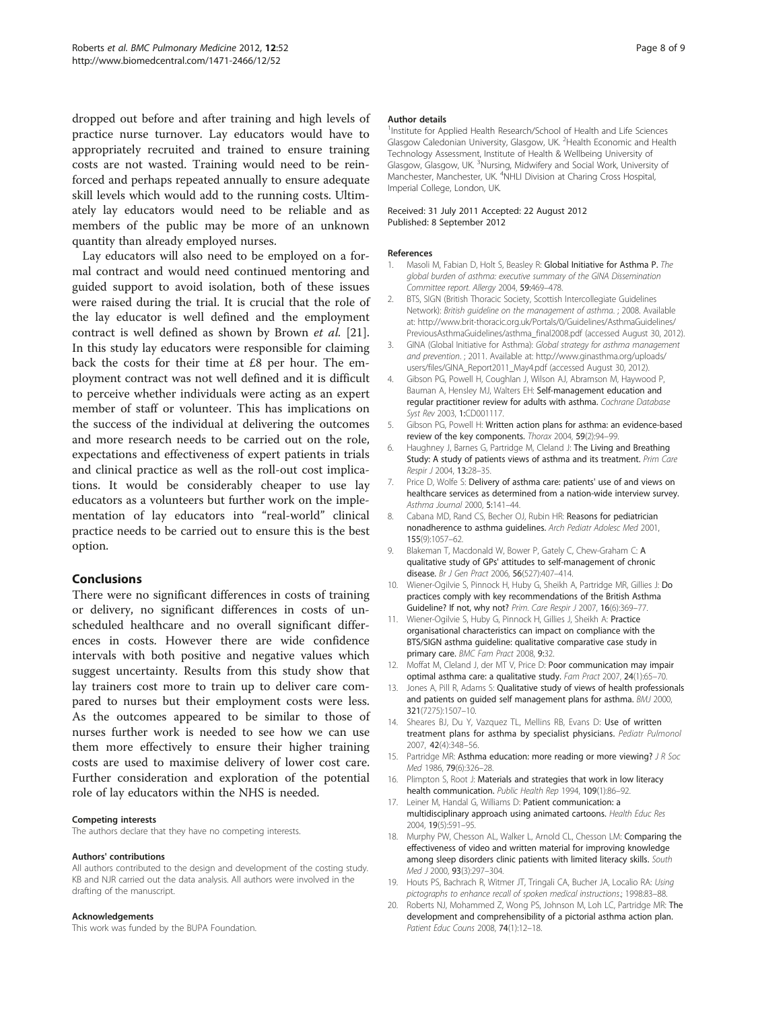<span id="page-7-0"></span>dropped out before and after training and high levels of practice nurse turnover. Lay educators would have to appropriately recruited and trained to ensure training costs are not wasted. Training would need to be reinforced and perhaps repeated annually to ensure adequate skill levels which would add to the running costs. Ultimately lay educators would need to be reliable and as members of the public may be more of an unknown quantity than already employed nurses.

Lay educators will also need to be employed on a formal contract and would need continued mentoring and guided support to avoid isolation, both of these issues were raised during the trial. It is crucial that the role of the lay educator is well defined and the employment contract is well defined as shown by Brown et al. [\[21](#page-8-0)]. In this study lay educators were responsible for claiming back the costs for their time at £8 per hour. The employment contract was not well defined and it is difficult to perceive whether individuals were acting as an expert member of staff or volunteer. This has implications on the success of the individual at delivering the outcomes and more research needs to be carried out on the role, expectations and effectiveness of expert patients in trials and clinical practice as well as the roll-out cost implications. It would be considerably cheaper to use lay educators as a volunteers but further work on the implementation of lay educators into "real-world" clinical practice needs to be carried out to ensure this is the best option.

## Conclusions

There were no significant differences in costs of training or delivery, no significant differences in costs of unscheduled healthcare and no overall significant differences in costs. However there are wide confidence intervals with both positive and negative values which suggest uncertainty. Results from this study show that lay trainers cost more to train up to deliver care compared to nurses but their employment costs were less. As the outcomes appeared to be similar to those of nurses further work is needed to see how we can use them more effectively to ensure their higher training costs are used to maximise delivery of lower cost care. Further consideration and exploration of the potential role of lay educators within the NHS is needed.

#### Competing interests

The authors declare that they have no competing interests.

#### Authors' contributions

All authors contributed to the design and development of the costing study. KB and NJR carried out the data analysis. All authors were involved in the drafting of the manuscript.

#### Acknowledgements

This work was funded by the BUPA Foundation.

#### Author details

<sup>1</sup>Institute for Applied Health Research/School of Health and Life Sciences Glasgow Caledonian University, Glasgow, UK.<sup>2</sup> Health Economic and Health Technology Assessment, Institute of Health & Wellbeing University of Glasgow, Glasgow, UK. <sup>3</sup>Nursing, Midwifery and Social Work, University of Manchester, Manchester, UK. <sup>4</sup>NHLI Division at Charing Cross Hospital Imperial College, London, UK.

#### Received: 31 July 2011 Accepted: 22 August 2012 Published: 8 September 2012

#### References

- 1. Masoli M, Fabian D, Holt S, Beasley R: Global Initiative for Asthma P. The global burden of asthma: executive summary of the GINA Dissemination Committee report. Allergy 2004, 59:469–478.
- 2. BTS, SIGN (British Thoracic Society, Scottish Intercollegiate Guidelines Network): British guideline on the management of asthma. ; 2008. Available at: [http://www.brit-thoracic.org.uk/Portals/0/Guidelines/AsthmaGuidelines/](http://www.brit-thoracic.org.uk/Portals/0/Guidelines/AsthmaGuidelines/PreviousAsthmaGuidelines/asthma_final2008.pdf) [PreviousAsthmaGuidelines/asthma\\_final2008.pdf](http://www.brit-thoracic.org.uk/Portals/0/Guidelines/AsthmaGuidelines/PreviousAsthmaGuidelines/asthma_final2008.pdf) (accessed August 30, 2012).
- 3. GINA (Global Initiative for Asthma): Global strategy for asthma management and prevention. ; 2011. Available at: [http://www.ginasthma.org/uploads/](http://www.ginasthma.org/uploads/users/files/GINA_Report2011_May4.pdf) [users/files/GINA\\_Report2011\\_May4.pdf](http://www.ginasthma.org/uploads/users/files/GINA_Report2011_May4.pdf) (accessed August 30, 2012).
- 4. Gibson PG, Powell H, Coughlan J, Wilson AJ, Abramson M, Haywood P, Bauman A, Hensley MJ, Walters EH: Self-management education and regular practitioner review for adults with asthma. Cochrane Database Syst Rev 2003, 1:CD001117.
- 5. Gibson PG, Powell H: Written action plans for asthma: an evidence-based review of the key components. Thorax 2004, 59(2):94–99.
- 6. Haughney J, Barnes G, Partridge M, Cleland J: The Living and Breathing Study: A study of patients views of asthma and its treatment. Prim Care Respir J 2004, 13:28–35.
- 7. Price D, Wolfe S: Delivery of asthma care: patients' use of and views on healthcare services as determined from a nation-wide interview survey. Asthma Journal 2000, 5:141–44.
- 8. Cabana MD, Rand CS, Becher OJ, Rubin HR: Reasons for pediatrician nonadherence to asthma guidelines. Arch Pediatr Adolesc Med 2001, 155(9):1057–62.
- 9. Blakeman T, Macdonald W, Bower P, Gately C, Chew-Graham C: A qualitative study of GPs' attitudes to self-management of chronic disease. Br J Gen Pract 2006, 56(527):407–414.
- 10. Wiener-Ogilvie S, Pinnock H, Huby G, Sheikh A, Partridge MR, Gillies J: Do practices comply with key recommendations of the British Asthma Guideline? If not, why not? Prim. Care Respir J 2007, 16(6):369-77.
- 11. Wiener-Ogilvie S, Huby G, Pinnock H, Gillies J, Sheikh A: Practice organisational characteristics can impact on compliance with the BTS/SIGN asthma guideline: qualitative comparative case study in primary care. BMC Fam Pract 2008, 9:32.
- 12. Moffat M, Cleland J, der MT V, Price D: Poor communication may impair optimal asthma care: a qualitative study. Fam Pract 2007, 24(1):65–70.
- 13. Jones A, Pill R, Adams S: Qualitative study of views of health professionals and patients on guided self management plans for asthma. BMJ 2000, 321(7275):1507–10.
- 14. Sheares BJ, Du Y, Vazquez TL, Mellins RB, Evans D: Use of written treatment plans for asthma by specialist physicians. Pediatr Pulmonol 2007, 42(4):348–56.
- 15. Partridge MR: Asthma education: more reading or more viewing? J R Soc Med 1986, 79(6):326–28.
- 16. Plimpton S, Root J: Materials and strategies that work in low literacy health communication. Public Health Rep 1994, 109(1):86–92.
- 17. Leiner M, Handal G, Williams D: Patient communication: a multidisciplinary approach using animated cartoons. Health Educ Res 2004, 19(5):591–95.
- 18. Murphy PW, Chesson AL, Walker L, Arnold CL, Chesson LM: Comparing the effectiveness of video and written material for improving knowledge among sleep disorders clinic patients with limited literacy skills. South Med J 2000, 93(3):297–304.
- 19. Houts PS, Bachrach R, Witmer JT, Tringali CA, Bucher JA, Localio RA: Using pictographs to enhance recall of spoken medical instructions.; 1998:83–88.
- 20. Roberts NJ, Mohammed Z, Wong PS, Johnson M, Loh LC, Partridge MR: The development and comprehensibility of a pictorial asthma action plan. Patient Educ Couns 2008, 74(1):12–18.